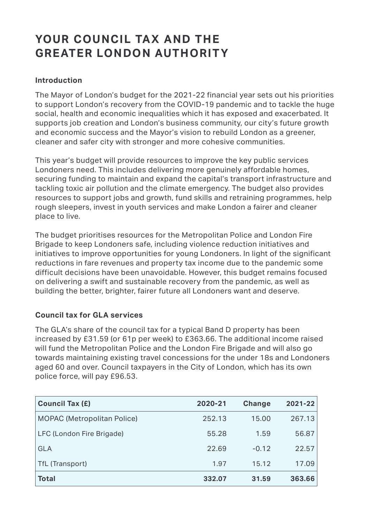# YOUR COUNCIL TAX AND THE **GREATER LONDON AUTHORITY**

## **Introduction**

The Mayor of London's budget for the 2021-22 financial year sets out his priorities to support London's recovery from the COVID-19 pandemic and to tackle the huge social, health and economic inequalities which it has exposed and exacerbated. It supports job creation and London's business community, our city's future growth and economic success and the Mayor's vision to rebuild London as a greener, cleaner and safer city with stronger and more cohesive communities.

This year's budget will provide resources to improve the key public services Londoners need. This includes delivering more genuinely affordable homes, securing funding to maintain and expand the capital's transport infrastructure and tackling toxic air pollution and the climate emergency. The budget also provides resources to support jobs and growth, fund skills and retraining programmes, help rough sleepers, invest in youth services and make London a fairer and cleaner place to live.

The budget prioritises resources for the Metropolitan Police and London Fire Brigade to keep Londoners safe, including violence reduction initiatives and initiatives to improve opportunities for young Londoners. In light of the significant reductions in fare revenues and property tax income due to the pandemic some difficult decisions have been unavoidable. However, this budget remains focused on delivering a swift and sustainable recovery from the pandemic, as well as building the better, brighter, fairer future all Londoners want and deserve.

## **Council tax for GLA services**

The GLA's share of the council tax for a typical Band D property has been increased by £31.59 (or 61p per week) to £363.66. The additional income raised will fund the Metropolitan Police and the London Fire Brigade and will also go towards maintaining existing travel concessions for the under 18s and Londoners aged 60 and over. Council taxpayers in the City of London, which has its own police force, will pay £96.53.

| <b>Council Tax (£)</b>             | 2020-21 | <b>Change</b> | 2021-22 |
|------------------------------------|---------|---------------|---------|
| <b>MOPAC (Metropolitan Police)</b> | 252.13  | 15.00         | 267.13  |
| LFC (London Fire Brigade)          | 55.28   | 1.59          | 56.87   |
| <b>GLA</b>                         | 22.69   | $-0.12$       | 22.57   |
| TfL (Transport)                    | 1.97    | 15.12         | 17.09   |
| <b>Total</b>                       | 332.07  | 31.59         | 363.66  |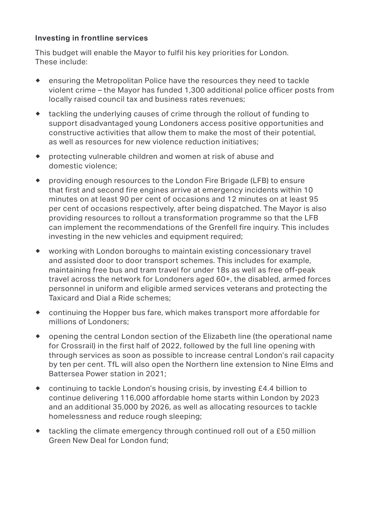#### **Investing in frontline services**

This budget will enable the Mayor to fulfil his key priorities for London. These include:

- $\bullet$  ensuring the Metropolitan Police have the resources they need to tackle violent crime – the Mayor has funded 1,300 additional police officer posts from locally raised council tax and business rates revenues;
- ® tackling the underlying causes of crime through the rollout of funding to support disadvantaged young Londoners access positive opportunities and constructive activities that allow them to make the most of their potential, as well as resources for new violence reduction initiatives;
- ® protecting vulnerable children and women at risk of abuse and domestic violence;
- ® providing enough resources to the London Fire Brigade (LFB) to ensure that first and second fire engines arrive at emergency incidents within 10 minutes on at least 90 per cent of occasions and 12 minutes on at least 95 per cent of occasions respectively, after being dispatched. The Mayor is also providing resources to rollout a transformation programme so that the LFB can implement the recommendations of the Grenfell fire inquiry. This includes investing in the new vehicles and equipment required;
- ® working with London boroughs to maintain existing concessionary travel and assisted door to door transport schemes. This includes for example, maintaining free bus and tram travel for under 18s as well as free off-peak travel across the network for Londoners aged 60+, the disabled, armed forces personnel in uniform and eligible armed services veterans and protecting the Taxicard and Dial a Ride schemes;
- ® continuing the Hopper bus fare, which makes transport more affordable for millions of Londoners;
- ® opening the central London section of the Elizabeth line (the operational name for Crossrail) in the first half of 2022, followed by the full line opening with through services as soon as possible to increase central London's rail capacity by ten per cent. TfL will also open the Northern line extension to Nine Elms and Battersea Power station in 2021;
- ® continuing to tackle London's housing crisis, by investing £4.4 billion to continue delivering 116,000 affordable home starts within London by 2023 and an additional 35,000 by 2026, as well as allocating resources to tackle homelessness and reduce rough sleeping;
- ® tackling the climate emergency through continued roll out of a £50 million Green New Deal for London fund;